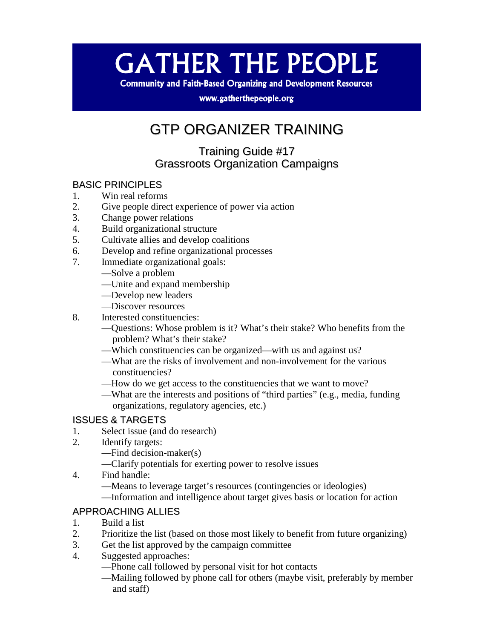# **GATHER THE PEOPLE**

**Community and Faith-Based Organizing and Development Resources** 

www.gatherthepeople.org

### GTP ORGANIZER TRAINING

Training Guide #17 Grassroots Organization Campaigns

### BASIC PRINCIPLES

- 1. Win real reforms
- 2. Give people direct experience of power via action
- 3. Change power relations
- 4. Build organizational structure
- 5. Cultivate allies and develop coalitions
- 6. Develop and refine organizational processes
- 7. Immediate organizational goals:
	- —Solve a problem
	- —Unite and expand membership
	- —Develop new leaders
	- —Discover resources
- 8. Interested constituencies:
	- —Questions: Whose problem is it? What's their stake? Who benefits from the problem? What's their stake?
	- —Which constituencies can be organized—with us and against us?
	- —What are the risks of involvement and non-involvement for the various constituencies?
	- —How do we get access to the constituencies that we want to move?
	- —What are the interests and positions of "third parties" (e.g., media, funding organizations, regulatory agencies, etc.)

## **ISSUES & TARGETS**<br>1. Select issue (and

- Select issue (and do research)
- 2. Identify targets:
	- —Find decision-maker(s)
	- —Clarify potentials for exerting power to resolve issues
- 4. Find handle:
	- —Means to leverage target's resources (contingencies or ideologies)
	- —Information and intelligence about target gives basis or location for action

### APPROACHING ALLIES

- 1. Build a list
- 2. Prioritize the list (based on those most likely to benefit from future organizing)
- 3. Get the list approved by the campaign committee
- 4. Suggested approaches:
	- —Phone call followed by personal visit for hot contacts
	- —Mailing followed by phone call for others (maybe visit, preferably by member and staff)